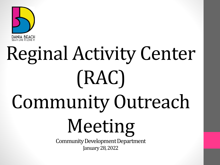

# Reginal Activity Center (RAC) Community Outreach Meeting Community Development Department January 28, 2022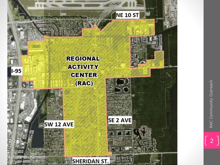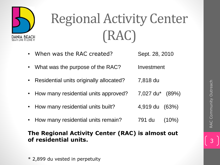

# Regional Activity Center (RAC)

- When was the RAC created? Sept. 28, 2010
- What was the purpose of the RAC? Investment
- Residential units originally allocated? 7,818 du
- How many residential units approved? 7,027 du\* (89%)
- How many residential units built? 4,919 du (63%)
- How many residential units remain? 791 du (10%)

#### **The Regional Activity Center (RAC) is almost out of residential units.**

\* 2,899 du vested in perpetuity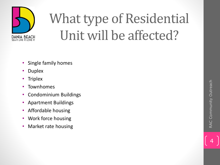

### What type of Residential Unit will be affected?

- Single family homes
- Duplex
- Triplex
- **Townhomes**
- Condominium Buildings
- Apartment Buildings
- Affordable housing
- Work force housing
- Market rate housing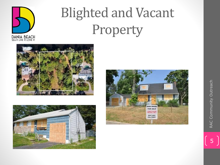

### Blighted and Vacant Property





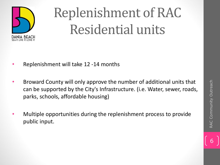

# Replenishment of RAC Residential units

- Replenishment will take 12 -14 months
- Broward County will only approve the number of additional units that can be supported by the City's Infrastructure. (i.e. Water, sewer, roads, parks, schools, affordable housing)
- Multiple opportunities during the replenishment process to provide public input.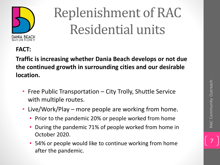

# Replenishment of RAC Residential units

#### **FACT:**

**Traffic is increasing whether Dania Beach develops or not due the continued growth in surrounding cities and our desirable location.**

- Free Public Transportation City Trolly, Shuttle Service with multiple routes.
- Live/Work/Play more people are working from home.
	- Prior to the pandemic 20% or people worked from home
	- During the pandemic 71% of people worked from home in October 2020.
	- 54% or people would like to continue working from home after the pandemic.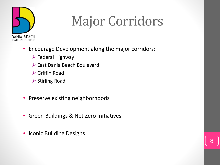

#### Major Corridors

- Encourage Development along the major corridors:
	- $\triangleright$  Federal Highway
	- ➢ East Dania Beach Boulevard
	- ➢ Griffin Road
	- ➢ Stirling Road
- Preserve existing neighborhoods
- Green Buildings & Net Zero Initiatives
- Iconic Building Designs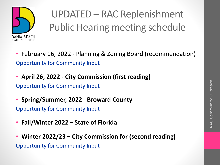

UPDATED – RAC Replenishment Public Hearing meeting schedule

- February 16, 2022 Planning & Zoning Board (recommendation) Opportunity for Community Input
- **April 26, 2022 - City Commission (first reading)**  Opportunity for Community Input
- **Spring/Summer, 2022 - Broward County** Opportunity for Community Input
- **Fall/Winter 2022 – State of Florida**
- **Winter 2022/23 – City Commission for (second reading)**  Opportunity for Community Input